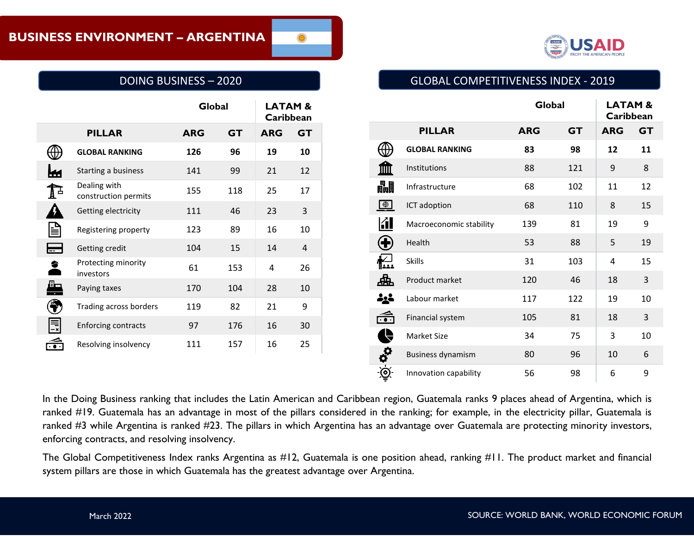

# DOING BUSINESS – 2020

|   |                                      | Global     |           | <b>LATAM &amp;</b><br>Caribbean |           |
|---|--------------------------------------|------------|-----------|---------------------------------|-----------|
|   | <b>PILLAR</b>                        | <b>ARG</b> | <b>GT</b> | <b>ARG</b>                      | <b>GT</b> |
|   | <b>GLOBAL RANKING</b>                | 126        | 96        | 19                              | 10        |
|   | Starting a business                  | 141        | 99        | 21                              | 12        |
|   | Dealing with<br>construction permits | 155        | 118       | 25                              | 17        |
|   | Getting electricity                  | 111        | 46        | 23                              | 3         |
|   | Registering property                 | 123        | 89        | 16                              | 10        |
|   | Getting credit                       | 104        | 15        | 14                              | 4         |
|   | Protecting minority<br>investors     | 61         | 153       | 4                               | 26        |
| Œ | Paying taxes                         | 170        | 104       | 28                              | 10        |
|   | Trading across borders               | 119        | 82        | 21                              | 9         |
|   | <b>Enforcing contracts</b>           | 97         | 176       | 16                              | 30        |
|   | Resolving insolvency                 | 111        | 157       | 16                              | 25        |

## GLOBAL COMPETITIVENESS INDEX - 2019

|                       |                          | Global     |           | <b>LATAM&amp;</b><br>Caribbean |           |
|-----------------------|--------------------------|------------|-----------|--------------------------------|-----------|
|                       | <b>PILLAR</b>            | <b>ARG</b> | <b>GT</b> | <b>ARG</b>                     | <b>GT</b> |
|                       | <b>GLOBAL RANKING</b>    | 83         | 98        | 12                             | 11        |
| m                     | Institutions             | 88         | 121       | 9                              | 8         |
| 畾                     | Infrastructure           | 68         | 102       | 11                             | 12        |
| $\bigoplus$           | ICT adoption             | 68         | 110       | 8                              | 15        |
| KI                    | Macroeconomic stability  | 139        | 81        | 19                             | 9         |
| Œ                     | Health                   | 53         | 88        | 5                              | 19        |
| منغل<br>النظا         | <b>Skills</b>            | 31         | 103       | 4                              | 15        |
|                       | Product market           | 120        | 46        | 18                             | 3         |
|                       | Labour market            | 117        | 122       | 19                             | 10        |
| $\widetilde{\cdot}$ . | Financial system         | 105        | 81        | 18                             | 3         |
|                       | <b>Market Size</b>       | 34         | 75        | 3                              | 10        |
| io qu                 | <b>Business dynamism</b> | 80         | 96        | 10                             | 6         |
|                       | Innovation capability    | 56         | 98        | 6                              | 9         |

In the Doing Business ranking that includes the Latin American and Caribbean region, Guatemala ranks 9 places ahead of Argentina, which is ranked #19. Guatemala has an advantage in most of the pillars considered in the ranking; for example, in the electricity pillar, Guatemala is ranked #3 while Argentina is ranked #23. The pillars in which Argentina has an advantage over Guatemala are protecting minority investors, enforcing contracts, and resolving insolvency.

The Global Competitiveness Index ranks Argentina as #12, Guatemala is one position ahead, ranking #11. The product market and financial system pillars are those in which Guatemala has the greatest advantage over Argentina.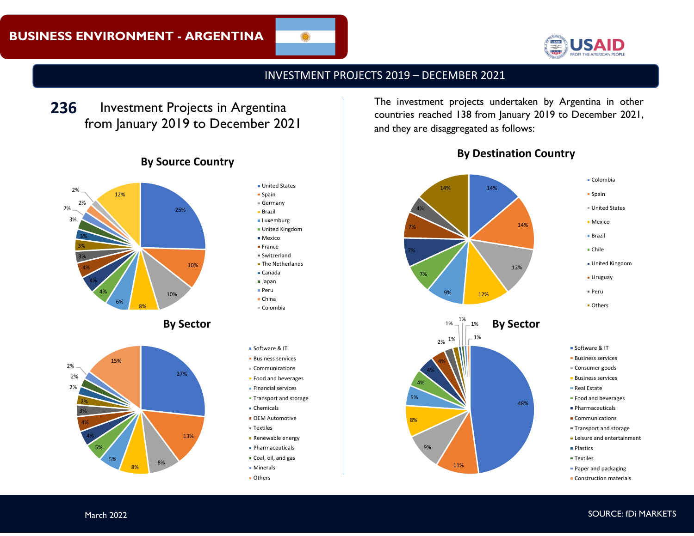

## INVESTMENT PROJECTS 2019 – DECEMBER 2021

Investment Projects in Argentina from January 2019 to December 2021



# **By Source Country**

27%

13%

8%

8%

- **United States**  $s$ Spain Germany **Brazil Luxemburg** United Kingdom Mexico **France** Switzerland **The Netherlands** Canada Japan Peru China  $\epsilon$ Colombia Software & IT **Business services** Communications **Food and beverages Financial services Transport and storage** Chemicals
- **OEM Automotive**
- Textiles
- **Renewable energy**
- **Pharmaceuticals**
- Coal, oil, and gas
- **Minerals**
- **Others**

**236** Investment Projects in Argentina **The investment projects undertaken by Argentina in other** countries reached 138 from January 2019 to December 2021, and they are disaggregated as follows:





48%

11%

9%

8%

5% 4% 4% 4%

- Software & IT
- **Business services**
- Consumer goods
- **Business services**
- Real Estate
- **Food and beverages**
- **Pharmaceuticals**
- **Communications**
- Transport and storage
- **E** Leisure and entertainment
- Plastics
- **Textiles**
- **Paper and packaging**
- **Construction materials**

5%

15%

5% 4% 4% 3% 2%

2% 2% 2%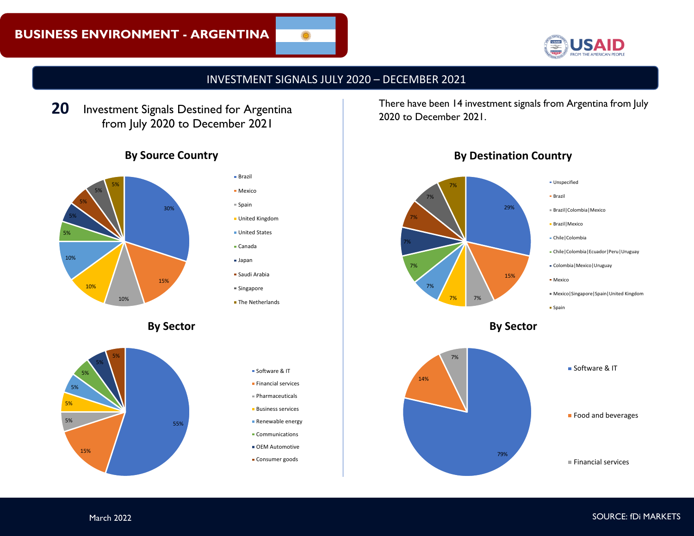

INVESTMENT SIGNALS JULY 2020 – DECEMBER 2021

Investment Signals Destined for Argentina from July 2020 to December 2021 **20**

# **By Source Country**



- Brazil
- 

Mexico

 $$$ Spain

- United Kingdom
- **United States**
- Canada
- Japan
- Saudi Arabia
- Singapore
- **The Netherlands**
- **By Sector**





There have been 14 investment signals from Argentina from July 2020 to December 2021.



# **By Destination Country**